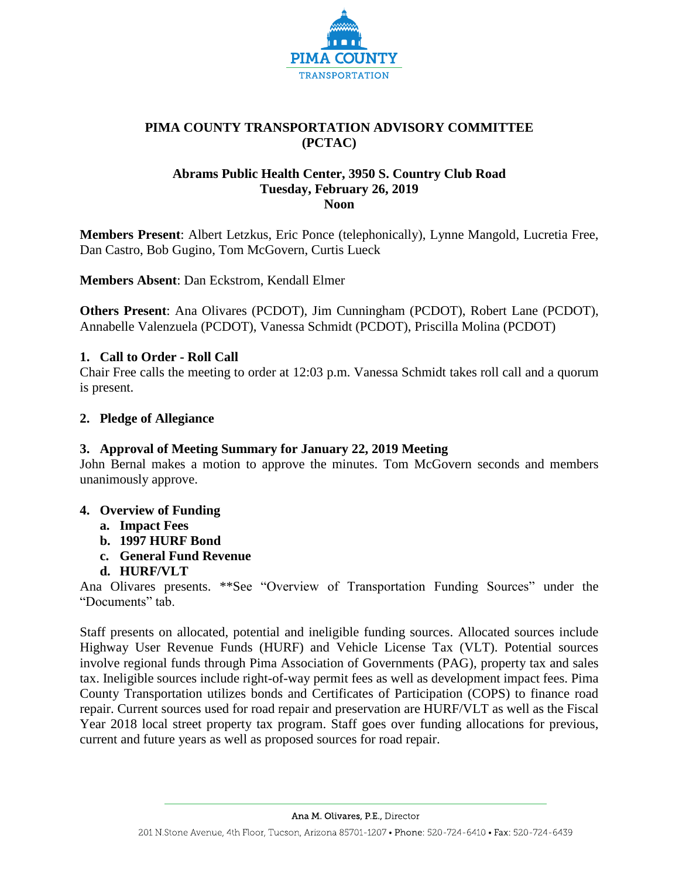

# **PIMA COUNTY TRANSPORTATION ADVISORY COMMITTEE (PCTAC)**

# **Abrams Public Health Center, 3950 S. Country Club Road Tuesday, February 26, 2019 Noon**

**Members Present**: Albert Letzkus, Eric Ponce (telephonically), Lynne Mangold, Lucretia Free, Dan Castro, Bob Gugino, Tom McGovern, Curtis Lueck

**Members Absent**: Dan Eckstrom, Kendall Elmer

**Others Present**: Ana Olivares (PCDOT), Jim Cunningham (PCDOT), Robert Lane (PCDOT), Annabelle Valenzuela (PCDOT), Vanessa Schmidt (PCDOT), Priscilla Molina (PCDOT)

## **1. Call to Order - Roll Call**

Chair Free calls the meeting to order at 12:03 p.m. Vanessa Schmidt takes roll call and a quorum is present.

## **2. Pledge of Allegiance**

## **3. Approval of Meeting Summary for January 22, 2019 Meeting**

John Bernal makes a motion to approve the minutes. Tom McGovern seconds and members unanimously approve.

## **4. Overview of Funding**

- **a. Impact Fees**
- **b. 1997 HURF Bond**
- **c. General Fund Revenue**
- **d. HURF/VLT**

Ana Olivares presents. \*\*See "Overview of Transportation Funding Sources" under the "Documents" tab.

Staff presents on allocated, potential and ineligible funding sources. Allocated sources include Highway User Revenue Funds (HURF) and Vehicle License Tax (VLT). Potential sources involve regional funds through Pima Association of Governments (PAG), property tax and sales tax. Ineligible sources include right-of-way permit fees as well as development impact fees. Pima County Transportation utilizes bonds and Certificates of Participation (COPS) to finance road repair. Current sources used for road repair and preservation are HURF/VLT as well as the Fiscal Year 2018 local street property tax program. Staff goes over funding allocations for previous, current and future years as well as proposed sources for road repair.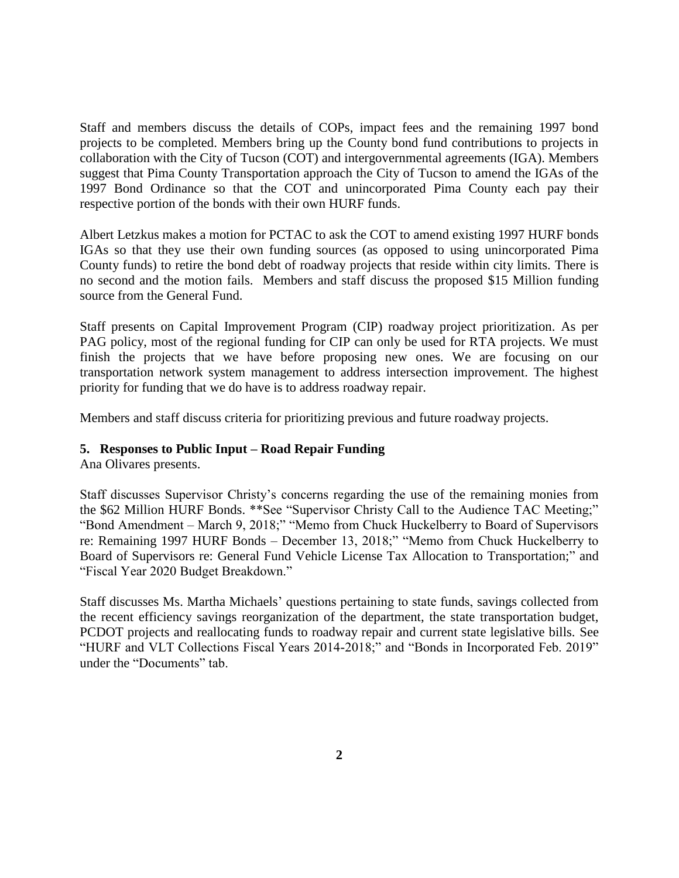Staff and members discuss the details of COPs, impact fees and the remaining 1997 bond projects to be completed. Members bring up the County bond fund contributions to projects in collaboration with the City of Tucson (COT) and intergovernmental agreements (IGA). Members suggest that Pima County Transportation approach the City of Tucson to amend the IGAs of the 1997 Bond Ordinance so that the COT and unincorporated Pima County each pay their respective portion of the bonds with their own HURF funds.

Albert Letzkus makes a motion for PCTAC to ask the COT to amend existing 1997 HURF bonds IGAs so that they use their own funding sources (as opposed to using unincorporated Pima County funds) to retire the bond debt of roadway projects that reside within city limits. There is no second and the motion fails. Members and staff discuss the proposed \$15 Million funding source from the General Fund.

Staff presents on Capital Improvement Program (CIP) roadway project prioritization. As per PAG policy, most of the regional funding for CIP can only be used for RTA projects. We must finish the projects that we have before proposing new ones. We are focusing on our transportation network system management to address intersection improvement. The highest priority for funding that we do have is to address roadway repair.

Members and staff discuss criteria for prioritizing previous and future roadway projects.

#### **5. Responses to Public Input – Road Repair Funding**

Ana Olivares presents.

Staff discusses Supervisor Christy's concerns regarding the use of the remaining monies from the \$62 Million HURF Bonds. \*\*See "Supervisor Christy Call to the Audience TAC Meeting;" "Bond Amendment – March 9, 2018;" "Memo from Chuck Huckelberry to Board of Supervisors re: Remaining 1997 HURF Bonds – December 13, 2018;" "Memo from Chuck Huckelberry to Board of Supervisors re: General Fund Vehicle License Tax Allocation to Transportation;" and "Fiscal Year 2020 Budget Breakdown."

Staff discusses Ms. Martha Michaels' questions pertaining to state funds, savings collected from the recent efficiency savings reorganization of the department, the state transportation budget, PCDOT projects and reallocating funds to roadway repair and current state legislative bills. See "HURF and VLT Collections Fiscal Years 2014-2018;" and "Bonds in Incorporated Feb. 2019" under the "Documents" tab.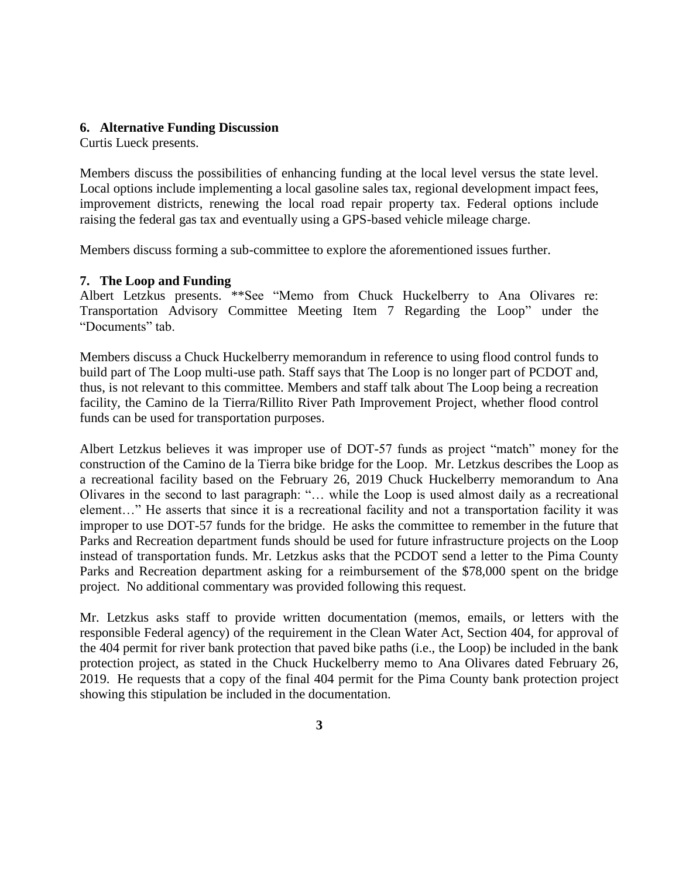## **6. Alternative Funding Discussion**

Curtis Lueck presents.

Members discuss the possibilities of enhancing funding at the local level versus the state level. Local options include implementing a local gasoline sales tax, regional development impact fees, improvement districts, renewing the local road repair property tax. Federal options include raising the federal gas tax and eventually using a GPS-based vehicle mileage charge.

Members discuss forming a sub-committee to explore the aforementioned issues further.

## **7. The Loop and Funding**

Albert Letzkus presents. \*\*See "Memo from Chuck Huckelberry to Ana Olivares re: Transportation Advisory Committee Meeting Item 7 Regarding the Loop" under the "Documents" tab.

Members discuss a Chuck Huckelberry memorandum in reference to using flood control funds to build part of The Loop multi-use path. Staff says that The Loop is no longer part of PCDOT and, thus, is not relevant to this committee. Members and staff talk about The Loop being a recreation facility, the Camino de la Tierra/Rillito River Path Improvement Project, whether flood control funds can be used for transportation purposes.

Albert Letzkus believes it was improper use of DOT-57 funds as project "match" money for the construction of the Camino de la Tierra bike bridge for the Loop. Mr. Letzkus describes the Loop as a recreational facility based on the February 26, 2019 Chuck Huckelberry memorandum to Ana Olivares in the second to last paragraph: "… while the Loop is used almost daily as a recreational element…" He asserts that since it is a recreational facility and not a transportation facility it was improper to use DOT-57 funds for the bridge. He asks the committee to remember in the future that Parks and Recreation department funds should be used for future infrastructure projects on the Loop instead of transportation funds. Mr. Letzkus asks that the PCDOT send a letter to the Pima County Parks and Recreation department asking for a reimbursement of the \$78,000 spent on the bridge project. No additional commentary was provided following this request.

Mr. Letzkus asks staff to provide written documentation (memos, emails, or letters with the responsible Federal agency) of the requirement in the Clean Water Act, Section 404, for approval of the 404 permit for river bank protection that paved bike paths (i.e., the Loop) be included in the bank protection project, as stated in the Chuck Huckelberry memo to Ana Olivares dated February 26, 2019. He requests that a copy of the final 404 permit for the Pima County bank protection project showing this stipulation be included in the documentation.